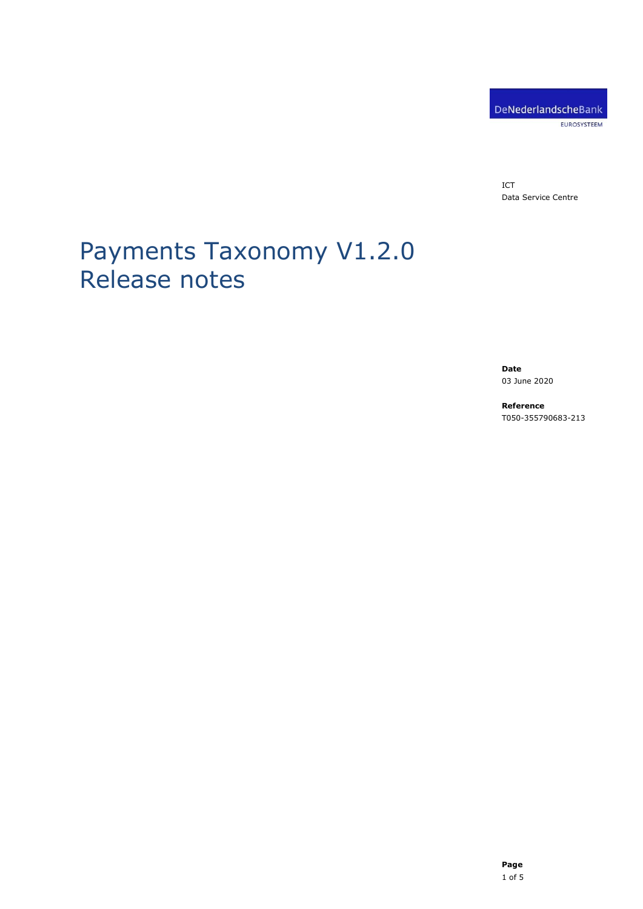ICT Data Service Centre

# Payments Taxonomy V1.2.0 Release notes

**Date** 03 June 2020

**Reference** T050-355790683-213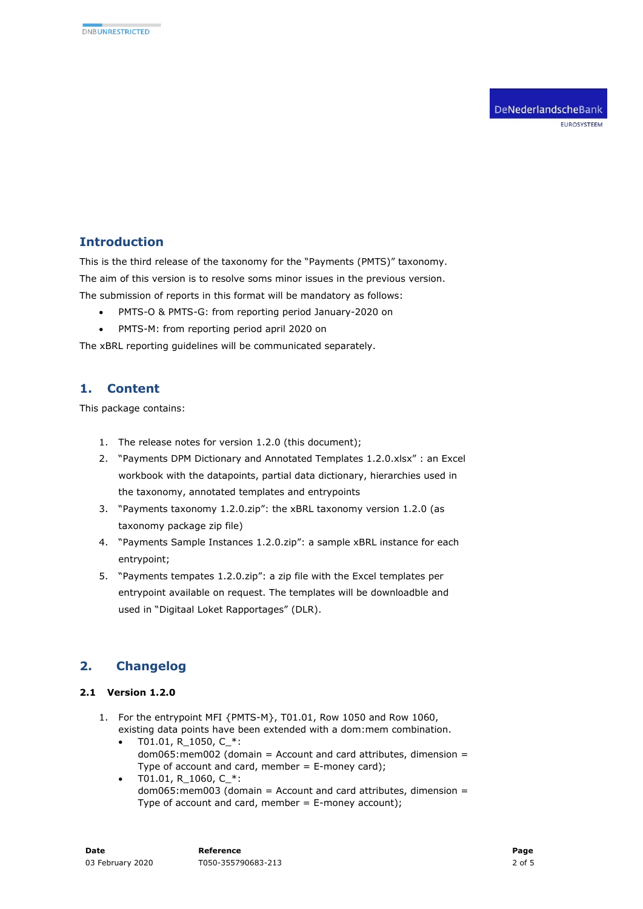DeNederlandscheBank EUROSYSTEEM

## **Introduction**

This is the third release of the taxonomy for the "Payments (PMTS)" taxonomy. The aim of this version is to resolve soms minor issues in the previous version. The submission of reports in this format will be mandatory as follows:

- PMTS-O & PMTS-G: from reporting period January-2020 on
- PMTS-M: from reporting period april 2020 on

The xBRL reporting guidelines will be communicated separately.

# **1. Content**

This package contains:

- 1. The release notes for version 1.2.0 (this document);
- 2. "Payments DPM Dictionary and Annotated Templates 1.2.0.xlsx" : an Excel workbook with the datapoints, partial data dictionary, hierarchies used in the taxonomy, annotated templates and entrypoints
- 3. "Payments taxonomy 1.2.0.zip": the xBRL taxonomy version 1.2.0 (as taxonomy package zip file)
- 4. "Payments Sample Instances 1.2.0.zip": a sample xBRL instance for each entrypoint;
- 5. "Payments tempates 1.2.0.zip": a zip file with the Excel templates per entrypoint available on request. The templates will be downloadble and used in "Digitaal Loket Rapportages" (DLR).

# **2. Changelog**

#### **2.1 Version 1.2.0**

- 1. For the entrypoint MFI {PMTS-M}, T01.01, Row 1050 and Row 1060, existing data points have been extended with a dom:mem combination.
	- T01.01, R\_1050, C\_\*:  $dom065:mem002$  (domain = Account and card attributes, dimension = Type of account and card, member  $=$  E-money card);
	- T01.01, R\_1060, C\_\*:  $dom065:mem003$  (domain = Account and card attributes, dimension = Type of account and card, member  $=$  E-money account);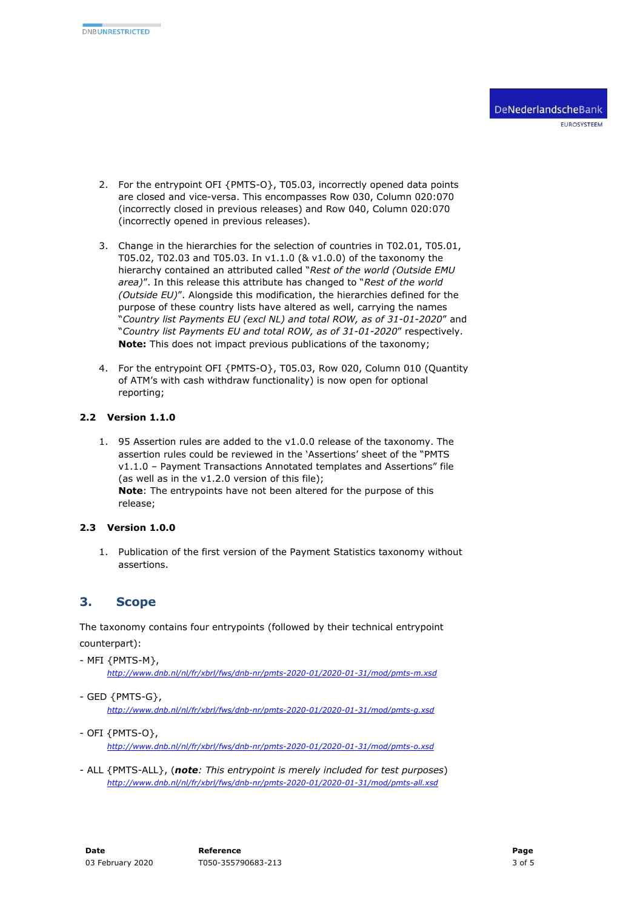- 2. For the entrypoint OFI {PMTS-O}, T05.03, incorrectly opened data points are closed and vice-versa. This encompasses Row 030, Column 020:070 (incorrectly closed in previous releases) and Row 040, Column 020:070 (incorrectly opened in previous releases).
- 3. Change in the hierarchies for the selection of countries in T02.01, T05.01, T05.02, T02.03 and T05.03. In v1.1.0 (& v1.0.0) of the taxonomy the hierarchy contained an attributed called "*Rest of the world (Outside EMU area)*". In this release this attribute has changed to "*Rest of the world (Outside EU)*". Alongside this modification, the hierarchies defined for the purpose of these country lists have altered as well, carrying the names "*Country list Payments EU (excl NL) and total ROW, as of 31-01-2020*" and "*Country list Payments EU and total ROW, as of 31-01-2020*" respectively. **Note:** This does not impact previous publications of the taxonomy;
- 4. For the entrypoint OFI {PMTS-O}, T05.03, Row 020, Column 010 (Quantity of ATM's with cash withdraw functionality) is now open for optional reporting;

#### **2.2 Version 1.1.0**

1. 95 Assertion rules are added to the v1.0.0 release of the taxonomy. The assertion rules could be reviewed in the 'Assertions' sheet of the "PMTS v1.1.0 – Payment Transactions Annotated templates and Assertions" file (as well as in the v1.2.0 version of this file); **Note**: The entrypoints have not been altered for the purpose of this release;

#### **2.3 Version 1.0.0**

1. Publication of the first version of the Payment Statistics taxonomy without assertions.

## **3. Scope**

The taxonomy contains four entrypoints (followed by their technical entrypoint counterpart):

- MFI {PMTS-M}, *<http://www.dnb.nl/nl/fr/xbrl/fws/dnb-nr/pmts-2020-01/2020-01-31/mod/pmts-m.xsd>*
- GED {PMTS-G}, *<http://www.dnb.nl/nl/fr/xbrl/fws/dnb-nr/pmts-2020-01/2020-01-31/mod/pmts-g.xsd>*
- OFI {PMTS-O}, *<http://www.dnb.nl/nl/fr/xbrl/fws/dnb-nr/pmts-2020-01/2020-01-31/mod/pmts-o.xsd>*
- ALL {PMTS-ALL}, (*note: This entrypoint is merely included for test purposes*) *<http://www.dnb.nl/nl/fr/xbrl/fws/dnb-nr/pmts-2020-01/2020-01-31/mod/pmts-all.xsd>*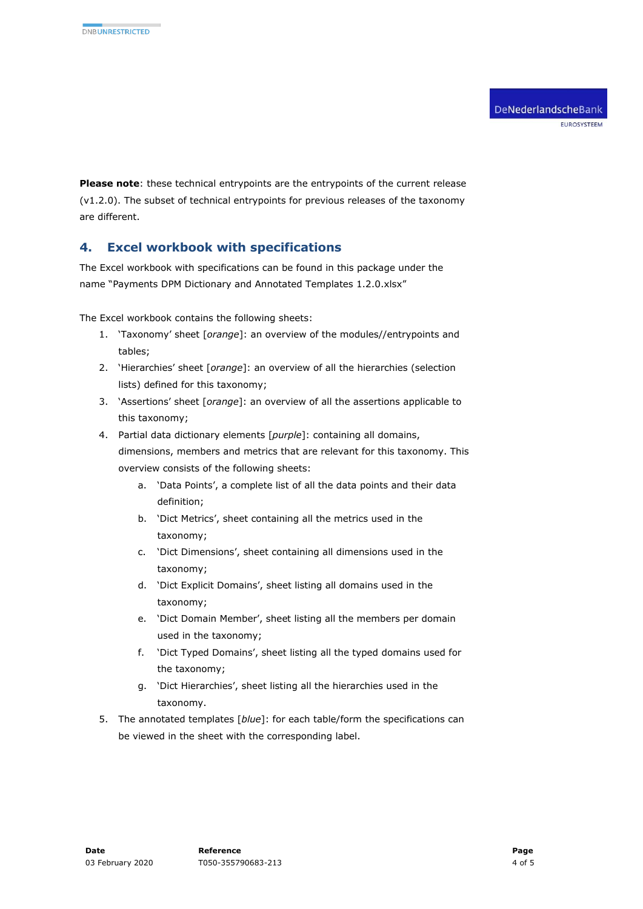**Please note**: these technical entrypoints are the entrypoints of the current release (v1.2.0). The subset of technical entrypoints for previous releases of the taxonomy are different.

## **4. Excel workbook with specifications**

The Excel workbook with specifications can be found in this package under the name "Payments DPM Dictionary and Annotated Templates 1.2.0.xlsx"

The Excel workbook contains the following sheets:

- 1. 'Taxonomy' sheet [*orange*]: an overview of the modules//entrypoints and tables;
- 2. 'Hierarchies' sheet [*orange*]: an overview of all the hierarchies (selection lists) defined for this taxonomy;
- 3. 'Assertions' sheet [*orange*]: an overview of all the assertions applicable to this taxonomy;
- 4. Partial data dictionary elements [*purple*]: containing all domains, dimensions, members and metrics that are relevant for this taxonomy. This overview consists of the following sheets:
	- a. 'Data Points', a complete list of all the data points and their data definition;
	- b. 'Dict Metrics', sheet containing all the metrics used in the taxonomy;
	- c. 'Dict Dimensions', sheet containing all dimensions used in the taxonomy;
	- d. 'Dict Explicit Domains', sheet listing all domains used in the taxonomy;
	- e. 'Dict Domain Member', sheet listing all the members per domain used in the taxonomy;
	- f. 'Dict Typed Domains', sheet listing all the typed domains used for the taxonomy;
	- g. 'Dict Hierarchies', sheet listing all the hierarchies used in the taxonomy.
- 5. The annotated templates [*blue*]: for each table/form the specifications can be viewed in the sheet with the corresponding label.